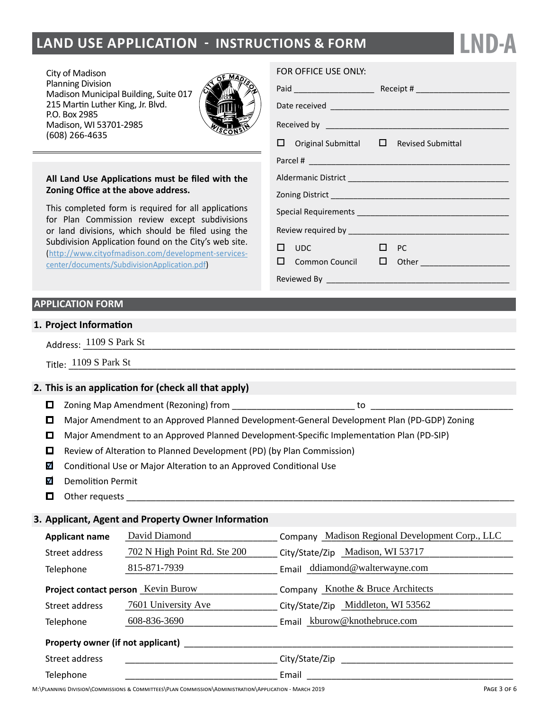## **land Use Application - instructions & form**

City of Madison Planning Division Madison Municipal Building, Suite 017 215 Martin Luther King, Jr. Blvd. P.O. Box 2985 Madison, WI 53701-2985 (608) 266-4635



#### **All Land Use Applications must be filed with the Zoning Office at the above address.**

This completed form is required for all applications for Plan Commission review except subdivisions or land divisions, which should be filed using the Subdivision Application found on the City's web site. ([http://www.cityofmadison.com/development-services](http://www.cityofmadison.com/development-services-center/documents/SubdivisionApplication.pdf)[center/documents/SubdivisionApplication.pdf\)](http://www.cityofmadison.com/development-services-center/documents/SubdivisionApplication.pdf)

#### **APPLICATION FORM**

#### **1. Project Information**

Address:  $\frac{1109 \text{ S Park St}}{}$ 

#### **2. This is an application for (check all that apply)**

- Zoning Map Amendment (Rezoning) from \_\_\_\_\_\_\_\_\_\_\_\_\_\_\_\_\_\_\_\_\_\_\_\_\_ to \_\_\_\_\_\_\_\_\_\_\_\_\_\_\_\_\_\_\_\_\_\_\_\_\_\_\_\_\_
- Major Amendment to an Approved Planned Development-General Development Plan (PD-GDP) Zoning
- Major Amendment to an Approved Planned Development-Specific Implementation Plan (PD-SIP)
- $\Box$  Review of Alteration to Planned Development (PD) (by Plan Commission)
- $\overline{\mathbf{v}}$ Conditional Use or Major Alteration to an Approved Conditional Use
- M Demolition Permit
- П. Other requests

#### **3. Applicant, Agent and Property Owner Information**

|           | Title: 1109 S Park St                                                                       |                                                        |                                                                         |  |  |  |  |  |
|-----------|---------------------------------------------------------------------------------------------|--------------------------------------------------------|-------------------------------------------------------------------------|--|--|--|--|--|
|           |                                                                                             | This is an application for (check all that apply)      |                                                                         |  |  |  |  |  |
| ◻         |                                                                                             |                                                        |                                                                         |  |  |  |  |  |
| ◻         | Major Amendment to an Approved Planned Development-General Development Plan (PD-GDP) Zoning |                                                        |                                                                         |  |  |  |  |  |
| □         | Major Amendment to an Approved Planned Development-Specific Implementation Plan (PD-SIP)    |                                                        |                                                                         |  |  |  |  |  |
| ◻         | Review of Alteration to Planned Development (PD) (by Plan Commission)                       |                                                        |                                                                         |  |  |  |  |  |
| V         | Conditional Use or Major Alteration to an Approved Conditional Use                          |                                                        |                                                                         |  |  |  |  |  |
| M         | <b>Demolition Permit</b>                                                                    |                                                        |                                                                         |  |  |  |  |  |
| О         |                                                                                             |                                                        |                                                                         |  |  |  |  |  |
|           |                                                                                             |                                                        |                                                                         |  |  |  |  |  |
|           |                                                                                             | <b>Applicant, Agent and Property Owner Information</b> |                                                                         |  |  |  |  |  |
|           | <b>Applicant name</b>                                                                       | David Diamond                                          | Company Madison Regional Development Corp., LLC                         |  |  |  |  |  |
|           | Street address                                                                              |                                                        | 702 N High Point Rd. Ste 200 City/State/Zip Madison, WI 53717           |  |  |  |  |  |
|           | Telephone                                                                                   | 815-871-7939                                           | Email ddiamond@walterwayne.com                                          |  |  |  |  |  |
|           |                                                                                             | Project contact person Kevin Burow                     | <b>Company</b> Knothe & Bruce Architects                                |  |  |  |  |  |
|           | Street address                                                                              |                                                        | 7601 University Ave _______________ City/State/Zip _Middleton, WI 53562 |  |  |  |  |  |
|           | Telephone                                                                                   | 608-836-3690                                           | Email kburow@knothebruce.com                                            |  |  |  |  |  |
|           |                                                                                             |                                                        |                                                                         |  |  |  |  |  |
|           | Street address                                                                              |                                                        |                                                                         |  |  |  |  |  |
| Telephone |                                                                                             |                                                        |                                                                         |  |  |  |  |  |
|           |                                                                                             |                                                        |                                                                         |  |  |  |  |  |

#### FOR OFFICE USE ONLY:

|  | $\Box$ Original Submittal $\Box$ Revised Submittal |           |                                             |  |  |
|--|----------------------------------------------------|-----------|---------------------------------------------|--|--|
|  |                                                    |           |                                             |  |  |
|  |                                                    |           |                                             |  |  |
|  |                                                    |           |                                             |  |  |
|  |                                                    |           |                                             |  |  |
|  |                                                    |           |                                             |  |  |
|  | $\square$ upc                                      | $\Box$ PC |                                             |  |  |
|  |                                                    |           | □ Common Council □ Other __________________ |  |  |
|  |                                                    |           |                                             |  |  |

**LND-A**

Page 3 of 6